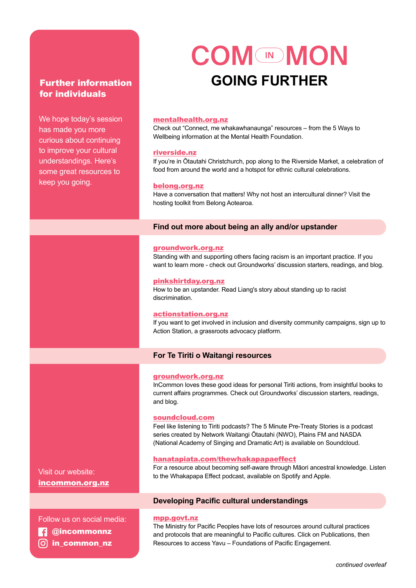## for individuals

We hope today's session has made you more curious about continuing to improve your cultural understandings. Here's some great resources to keep you going.

# **COM MON** Further information **further GOING FURTHER**

## [mentalhealth.org.nz](http://mentalhealth.org.nz)

Check out "Connect, me whakawhanaunga" resources – from the 5 Ways to Wellbeing information at the Mental Health Foundation.

#### [riverside.nz](http://riverside.nz)

If you're in Ōtautahi Christchurch, pop along to the Riverside Market, a celebration of food from around the world and a hotspot for ethnic cultural celebrations.

## [belong.org.nz](http://belong.org.nz)

Have a conversation that matters! Why not host an intercultural dinner? Visit the hosting toolkit from Belong Aotearoa.

## **Find out more about being an ally and/or upstander**

## [groundwork.org.nz](http://groundwork.org.nz)

Standing with and supporting others facing racism is an important practice. If you want to learn more - check out Groundworks' discussion starters, readings, and blog.

## [pinkshirtday.org.nz](http://pinkshirtday.org.nz)

How to be an upstander. Read Liang's story about standing up to racist discrimination.

#### [actionstation.org.nz](http://actionstation.org.nz)

If you want to get involved in inclusion and diversity community campaigns, sign up to Action Station, a grassroots advocacy platform.

## **For Te Tiriti o Waitangi resources**

#### [groundwork.org.nz](http://groundwork.org.nz)

InCommon loves these good ideas for personal Tiriti actions, from insightful books to current affairs programmes. Check out Groundworks' discussion starters, readings, and blog.

## [soundcloud.com](http://soundcloud.com)

Feel like listening to Tiriti podcasts? The 5 Minute Pre-Treaty Stories is a podcast series created by Network Waitangi Ōtautahi (NWO), Plains FM and NASDA (National Academy of Singing and Dramatic Art) is available on Soundcloud.

## [hanatapiata.com/thewhakapapaeffect](http://hanatapiata.com/thewhakapapaeffect)

For a resource about becoming self-aware through Māori ancestral knowledge. Listen to the Whakapapa Effect podcast, available on Spotify and Apple.

## **Developing Pacific cultural understandings**

#### [mpp.govt.nz](http://mpp.govt.nz)

The Ministry for Pacific Peoples have lots of resources around cultural practices and protocols that are meaningful to Pacific cultures. Click on Publications, then Resources to access Yavu – Foundations of Pacific Engagement.

Visit our website: [incommon.org.nz](http://incommon.org.nz)

Follow us on social media:  **@**incommonnz in\_common\_nz